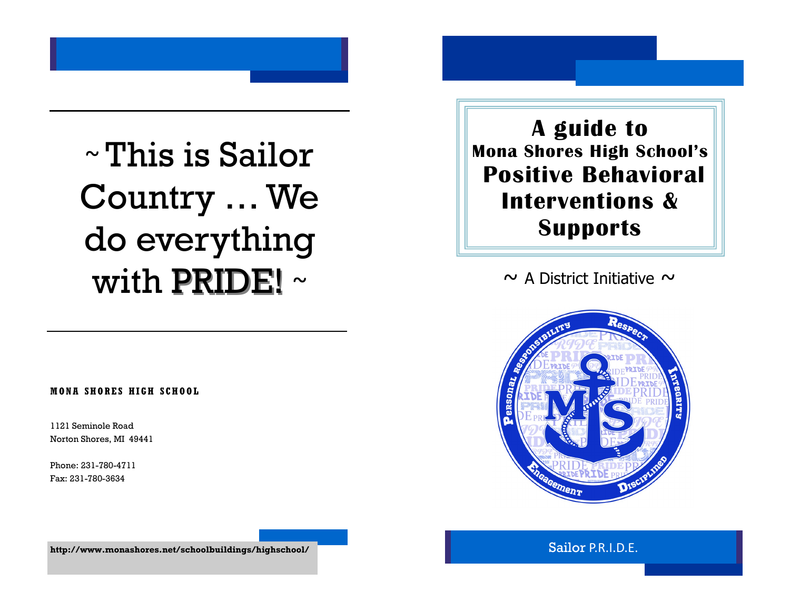# ~ This is Sailor Country … We do everything with PRIDE! ~

**MONA SHORES HIGH SCH OOL**

1121 Seminole Road Norton Shores, MI 49441

Phone: 231-780-4711 Fax: 231-780-3634

**A guide to Mona Shores High School's Positive Behavioral Interventions & Supports**

 $\sim$  A District Initiative  $\sim$ 



Sailor P.R.I.D.E.

**http://www.monashores.net/schoolbuildings/highschool/**